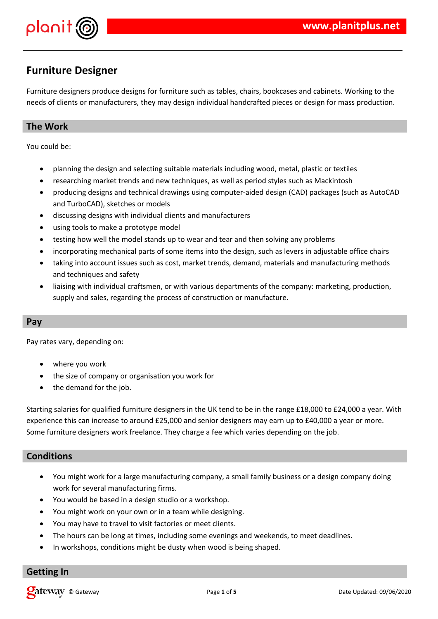

## **Furniture Designer**

Furniture designers produce designs for furniture such as tables, chairs, bookcases and cabinets. Working to the needs of clients or manufacturers, they may design individual handcrafted pieces or design for mass production.

## **The Work**

You could be:

- planning the design and selecting suitable materials including wood, metal, plastic or textiles
- researching market trends and new techniques, as well as period styles such as Mackintosh
- producing designs and technical drawings using computer-aided design (CAD) packages (such as AutoCAD and TurboCAD), sketches or models
- discussing designs with individual clients and manufacturers
- using tools to make a prototype model
- testing how well the model stands up to wear and tear and then solving any problems
- incorporating mechanical parts of some items into the design, such as levers in adjustable office chairs
- taking into account issues such as cost, market trends, demand, materials and manufacturing methods and techniques and safety
- liaising with individual craftsmen, or with various departments of the company: marketing, production, supply and sales, regarding the process of construction or manufacture.

### **Pay**

Pay rates vary, depending on:

- where you work
- the size of company or organisation you work for
- the demand for the job.

Starting salaries for qualified furniture designers in the UK tend to be in the range £18,000 to £24,000 a year. With experience this can increase to around £25,000 and senior designers may earn up to £40,000 a year or more. Some furniture designers work freelance. They charge a fee which varies depending on the job.

### **Conditions**

- You might work for a large manufacturing company, a small family business or a design company doing work for several manufacturing firms.
- You would be based in a design studio or a workshop.
- You might work on your own or in a team while designing.
- You may have to travel to visit factories or meet clients.
- The hours can be long at times, including some evenings and weekends, to meet deadlines.
- In workshops, conditions might be dusty when wood is being shaped.

### **Getting In**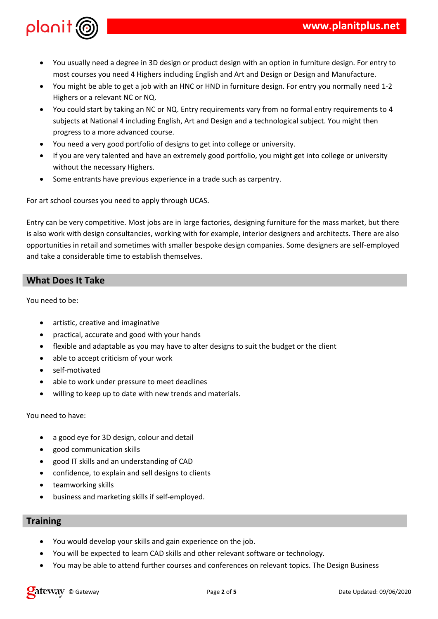

- You usually need a degree in 3D design or product design with an option in furniture design. For entry to most courses you need 4 Highers including English and Art and Design or Design and Manufacture.
- You might be able to get a job with an HNC or HND in furniture design. For entry you normally need 1-2 Highers or a relevant NC or NQ.
- You could start by taking an NC or NQ. Entry requirements vary from no formal entry requirements to 4 subjects at National 4 including English, Art and Design and a technological subject. You might then progress to a more advanced course.
- You need a very good portfolio of designs to get into college or university.
- If you are very talented and have an extremely good portfolio, you might get into college or university without the necessary Highers.
- Some entrants have previous experience in a trade such as carpentry.

For art school courses you need to apply through UCAS.

Entry can be very competitive. Most jobs are in large factories, designing furniture for the mass market, but there is also work with design consultancies, working with for example, interior designers and architects. There are also opportunities in retail and sometimes with smaller bespoke design companies. Some designers are self-employed and take a considerable time to establish themselves.

## **What Does It Take**

You need to be:

- artistic, creative and imaginative
- practical, accurate and good with your hands
- flexible and adaptable as you may have to alter designs to suit the budget or the client
- able to accept criticism of your work
- self-motivated
- able to work under pressure to meet deadlines
- willing to keep up to date with new trends and materials.

You need to have:

- a good eye for 3D design, colour and detail
- good communication skills
- good IT skills and an understanding of CAD
- confidence, to explain and sell designs to clients
- teamworking skills
- business and marketing skills if self-employed.

### **Training**

- You would develop your skills and gain experience on the job.
- You will be expected to learn CAD skills and other relevant software or technology.
- You may be able to attend further courses and conferences on relevant topics. The Design Business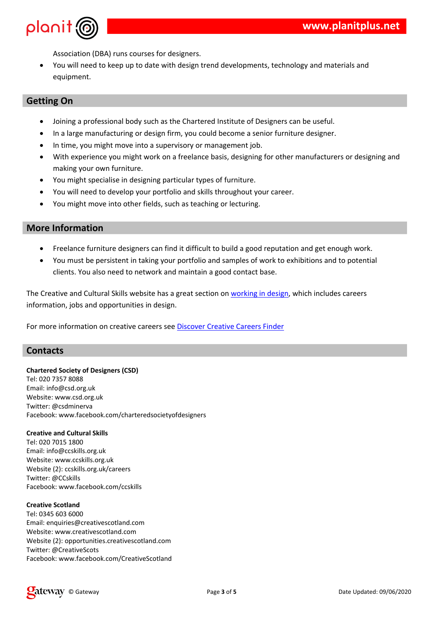$+ 2 \mathbf{u}$  $\mathbb{Z}^d$ 8.<br>(\$ "  $\frac{1}{2}$ %  $\qquad \qquad$  \$

| $^\text{\textregistered}$                 |                 |                                        |              | 9          |                                 |              |             |
|-------------------------------------------|-----------------|----------------------------------------|--------------|------------|---------------------------------|--------------|-------------|
| $\boldsymbol{9}$                          | \$              |                                        | \$           |            | \$                              |              | $\mathbf H$ |
| $\boldsymbol{9}$<br>\$                    |                 | $\frac{1}{2}$<br>$\boldsymbol{\theta}$ | $\%$<br>$\%$ | $\pmb{\$}$ | \$<br>$\mathbf{H}$<br>$\pmb{0}$ |              |             |
| $\#$                                      |                 | \$                                     |              |            |                                 | \$           |             |
| $\, \, \raisebox{12pt}{$\scriptstyle \$}$ |                 |                                        | $\mathbf{H}$ |            |                                 |              |             |
| $\pmb{\&}$<br>- \$                        |                 |                                        |              |            | $\mathbf{H}$                    |              |             |
| $\&$                                      |                 | $\%$                                   |              |            |                                 | $\mathbf{H}$ |             |
| $\pmb{8}$<br>$\sqrt{3}$                   | $\frac{6}{9}$ % |                                        |              |            | $\mathbf{H}$                    |              |             |
|                                           |                 |                                        |              |            |                                 |              |             |

|  | $8$ \$<br>$8$ \$<br>$8$ \$<br>$\frac{1}{2}$<br>$\frac{1}{2}$<br>$\frac{1}{2}$<br>$\frac{1}{2}$<br>$\frac{1}{2}$<br>$\frac{1}{2}$ |  |  |
|--|----------------------------------------------------------------------------------------------------------------------------------|--|--|
|  | $\begin{array}{cccccccc} 1 & , & & \% & , & & & 2! & & & \ \hline & \$ & & 0 & & & & \end{array}$                                |  |  |
|  | $\mathfrak s$                                                                                                                    |  |  |

 $\#$ 

|                                                        | \$  #                       | $\Gamma_{\rm c}$              | % \$ & |                      |
|--------------------------------------------------------|-----------------------------|-------------------------------|--------|----------------------|
| $\overline{1}$                                         | A: 8A 6 66                  |                               |        |                      |
| $<$ $\updownarrow$ $\updownarrow$ $\updownarrow$       | B                           | Ħ<br>Ħ                        | I      |                      |
|                                                        | Ħ                           | $\pmb{\mathsf{H}}$<br>Ħ       |        |                      |
| $\overline{1}$                                         | -\$<br>Β                    | $\%$                          |        |                      |
|                                                        | $\mathbf{H}$<br>ļ           | ŗ"                            | \$     |                      |
|                                                        | ı                           | \$                            |        |                      |
| $\sqrt{2}$                                             | A 58 56                     |                               |        |                      |
|                                                        | B                           | Ħ<br>i                        | Ħ      |                      |
|                                                        | π                           | Ħ<br>Ţ                        | π      |                      |
| $\begin{array}{c} 8 \\ 4 \\ 4 \\ 4 \end{array}$        | $\cdot$ !<br>$\ddot{}$      | $\pmb{\text{II}}$<br>Н        | ļ      |                      |
| $\overline{1}$                                         | B, 1                        |                               |        |                      |
|                                                        | $\pmb{\shortparallel}$<br>ļ | i.                            | \$     | Ţ                    |
|                                                        | $'$ \$#                     |                               |        |                      |
| /                                                      | :78<br>$\cdot$              |                               |        |                      |
|                                                        |                             | Β                             | $\%$   | H<br>\$              |
|                                                        | $\blacksquare$              | $\%$                          |        | $\blacksquare$<br>\$ |
| $\begin{array}{c} < \mathbb{S}\\ \# \\ \# \end{array}$ |                             | $\mathbf{u}$                  | $\%$   | Ħ<br>\$              |
| $\sqrt{\phantom{a}}$                                   | +<br>Β,                     | % 2                           |        |                      |
|                                                        | $\mathbf{H}$                | $\overline{\phantom{a}}$<br>ļ | \$     |                      |
|                                                        | ļ                           |                               | $\, ,$ | % 2                  |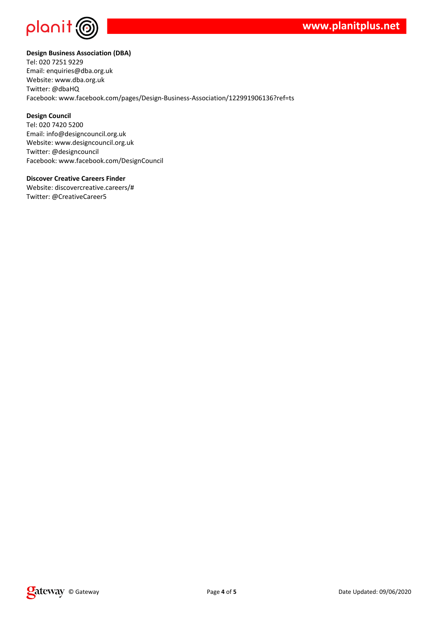



#### **Design Business Association (DBA)**

Tel: 020 7251 9229 Email: enquiries@dba.org.uk Website: www.dba.org.uk Twitter: @dbaHQ Facebook: www.facebook.com/pages/Design-Business-Association/122991906136?ref=ts

#### **Design Council**

Tel: 020 7420 5200 Email: info@designcouncil.org.uk Website: www.designcouncil.org.uk Twitter: @designcouncil Facebook: www.facebook.com/DesignCouncil

#### **Discover Creative Careers Finder**

Website: discovercreative.careers/# Twitter: @CreativeCareer5